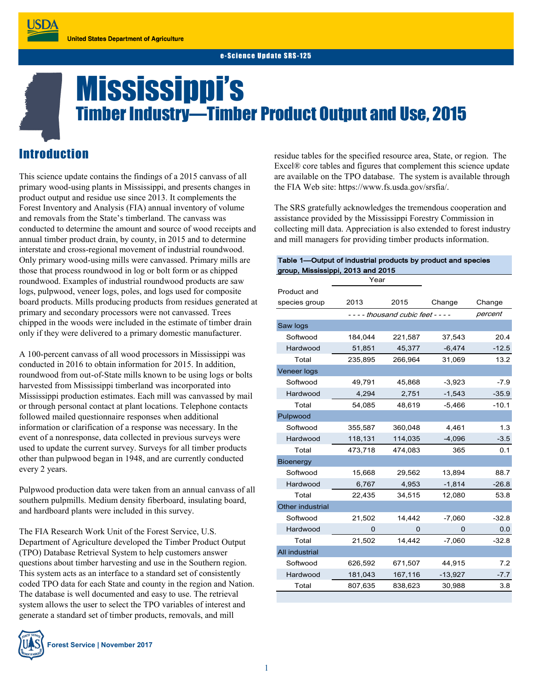# Mississippi's Timber Industry—Timber Product Output and Use, 2015

## Introduction

This science update contains the findings of a 2015 canvass of all primary wood-using plants in Mississippi, and presents changes in product output and residue use since 2013. It complements the Forest Inventory and Analysis (FIA) annual inventory of volume and removals from the State's timberland. The canvass was conducted to determine the amount and source of wood receipts and annual timber product drain, by county, in 2015 and to determine interstate and cross-regional movement of industrial roundwood. Only primary wood-using mills were canvassed. Primary mills are those that process roundwood in log or bolt form or as chipped roundwood. Examples of industrial roundwood products are saw logs, pulpwood, veneer logs, poles, and logs used for composite board products. Mills producing products from residues generated at primary and secondary processors were not canvassed. Trees chipped in the woods were included in the estimate of timber drain only if they were delivered to a primary domestic manufacturer.

A 100-percent canvass of all wood processors in Mississippi was conducted in 2016 to obtain information for 2015. In addition, roundwood from out-of-State mills known to be using logs or bolts harvested from Mississippi timberland was incorporated into Mississippi production estimates. Each mill was canvassed by mail or through personal contact at plant locations. Telephone contacts followed mailed questionnaire responses when additional information or clarification of a response was necessary. In the event of a nonresponse, data collected in previous surveys were used to update the current survey. Surveys for all timber products other than pulpwood began in 1948, and are currently conducted every 2 years.

Pulpwood production data were taken from an annual canvass of all southern pulpmills. Medium density fiberboard, insulating board, and hardboard plants were included in this survey.

The FIA Research Work Unit of the Forest Service, U.S. Department of Agriculture developed the Timber Product Output (TPO) Database Retrieval System to help customers answer questions about timber harvesting and use in the Southern region. This system acts as an interface to a standard set of consistently coded TPO data for each State and county in the region and Nation. The database is well documented and easy to use. The retrieval system allows the user to select the TPO variables of interest and generate a standard set of timber products, removals, and mill



**Forest Service | November 2017**

residue tables for the specified resource area, State, or region. The Excel® core tables and figures that complement this science update are available on the TPO database. The system is available through the FIA Web site: https://www.fs.usda.gov/srsfia/.

The SRS gratefully acknowledges the tremendous cooperation and assistance provided by the Mississippi Forestry Commission in collecting mill data. Appreciation is also extended to forest industry and mill managers for providing timber products information.

#### Table 1—Output of industrial products by product and species group, Mississippi, 2013 and 2015

|                  | Year                                |         |           |         |
|------------------|-------------------------------------|---------|-----------|---------|
| Product and      |                                     |         |           |         |
| species group    | 2013                                | 2015    | Change    | Change  |
|                  | - - - - thousand cubic feet - - - - |         |           | percent |
| Saw logs         |                                     |         |           |         |
| Softwood         | 184,044                             | 221,587 | 37,543    | 20.4    |
| Hardwood         | 51,851                              | 45,377  | $-6,474$  | $-12.5$ |
| Total            | 235,895                             | 266,964 | 31,069    | 13.2    |
| Veneer logs      |                                     |         |           |         |
| Softwood         | 49,791                              | 45.868  | $-3,923$  | $-7.9$  |
| Hardwood         | 4,294                               | 2,751   | $-1,543$  | $-35.9$ |
| Total            | 54,085                              | 48,619  | $-5,466$  | $-10.1$ |
| Pulpwood         |                                     |         |           |         |
| Softwood         | 355,587                             | 360,048 | 4,461     | 1.3     |
| Hardwood         | 118,131                             | 114,035 | $-4,096$  | $-3.5$  |
| Total            | 473.718                             | 474.083 | 365       | 0.1     |
| <b>Bioenergy</b> |                                     |         |           |         |
| Softwood         | 15,668                              | 29,562  | 13,894    | 88.7    |
| Hardwood         | 6,767                               | 4,953   | $-1,814$  | $-26.8$ |
| Total            | 22,435                              | 34,515  | 12,080    | 53.8    |
| Other industrial |                                     |         |           |         |
| Softwood         | 21,502                              | 14,442  | $-7,060$  | $-32.8$ |
| Hardwood         | 0                                   | 0       | 0         | 0.0     |
| Total            | 21,502                              | 14,442  | $-7,060$  | $-32.8$ |
| All industrial   |                                     |         |           |         |
| Softwood         | 626,592                             | 671,507 | 44,915    | 7.2     |
| Hardwood         | 181,043                             | 167,116 | $-13,927$ | $-7.7$  |
| Total            | 807,635                             | 838,623 | 30,988    | 3.8     |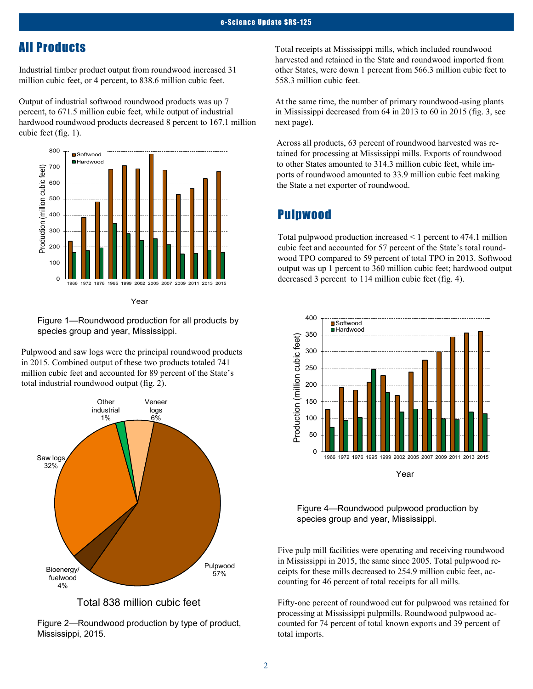## All Products

Industrial timber product output from roundwood increased 31 million cubic feet, or 4 percent, to 838.6 million cubic feet.

Output of industrial softwood roundwood products was up 7 percent, to 671.5 million cubic feet, while output of industrial hardwood roundwood products decreased 8 percent to 167.1 million cubic feet (fig. 1).





Figure 1—Roundwood production for all products by species group and year, Mississippi.

Pulpwood and saw logs were the principal roundwood products in 2015. Combined output of these two products totaled 741 million cubic feet and accounted for 89 percent of the State's total industrial roundwood output (fig. 2).



Total 838 million cubic feet

Figure 2—Roundwood production by type of product, Mississippi, 2015.

Total receipts at Mississippi mills, which included roundwood harvested and retained in the State and roundwood imported from other States, were down 1 percent from 566.3 million cubic feet to 558.3 million cubic feet.

At the same time, the number of primary roundwood-using plants in Mississippi decreased from 64 in 2013 to 60 in 2015 (fig. 3, see next page).

Across all products, 63 percent of roundwood harvested was retained for processing at Mississippi mills. Exports of roundwood to other States amounted to 314.3 million cubic feet, while imports of roundwood amounted to 33.9 million cubic feet making the State a net exporter of roundwood.

#### Pulpwood

Total pulpwood production increased < 1 percent to 474.1 million cubic feet and accounted for 57 percent of the State's total roundwood TPO compared to 59 percent of total TPO in 2013. Softwood output was up 1 percent to 360 million cubic feet; hardwood output decreased 3 percent to 114 million cubic feet (fig. 4).



Figure 4—Roundwood pulpwood production by species group and year, Mississippi.

Five pulp mill facilities were operating and receiving roundwood in Mississippi in 2015, the same since 2005. Total pulpwood receipts for these mills decreased to 254.9 million cubic feet, accounting for 46 percent of total receipts for all mills.

Fifty-one percent of roundwood cut for pulpwood was retained for processing at Mississippi pulpmills. Roundwood pulpwood accounted for 74 percent of total known exports and 39 percent of total imports.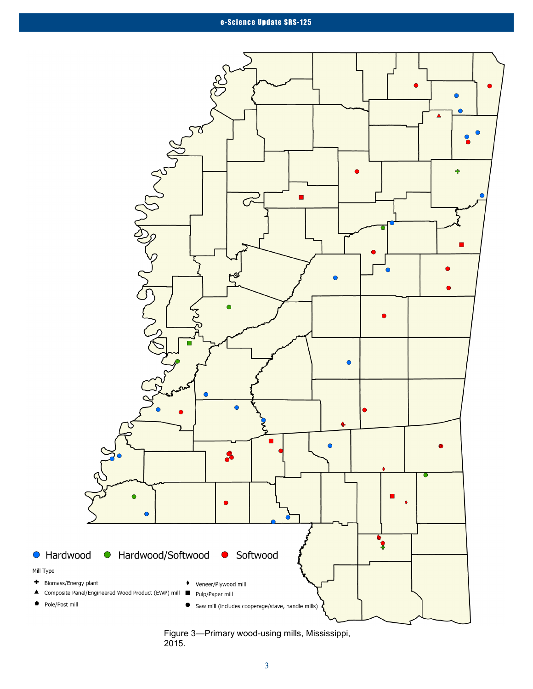

Figure 3—Primary wood-using mills, Mississippi, 2015.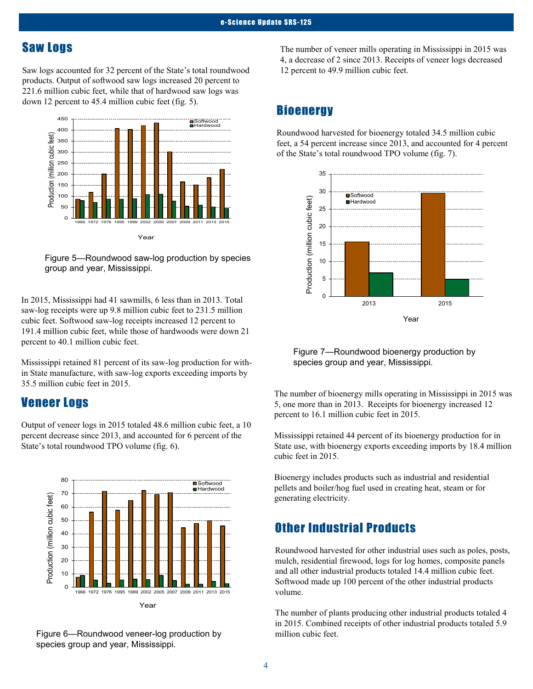## Saw Logs

Saw logs accounted for 32 percent of the State's total roundwood products. Output of softwood saw logs increased 20 percent to 221.6 million cubic feet, while that of hardwood saw logs was down 12 percent to 45.4 million cubic feet (fig. 5).



Figure 5—Roundwood saw-log production by species group and year, Mississippi.

In 2015, Mississippi had 41 sawmills, 6 less than in 2013. Total saw-log receipts were up 9.8 million cubic feet to 231.5 million cubic feet. Softwood saw-log receipts increased 12 percent to 191.4 million cubic feet, while those of hardwoods were down 21 percent to 40.1 million cubic feet.

Mississippi retained 81 percent of its saw-log production for within State manufacture, with saw-log exports exceeding imports by 35.5 million cubic feet in 2015.

#### Veneer Logs

Output of veneer logs in 2015 totaled 48.6 million cubic feet, a 10 percent decrease since 2013, and accounted for 6 percent of the State's total roundwood TPO volume (fig. 6).



Figure 6—Roundwood veneer-log production by species group and year, Mississippi.

The number of veneer mills operating in Mississippi in 2015 was 4, a decrease of 2 since 2013. Receipts of veneer logs decreased 12 percent to 49.9 million cubic feet.

## **Bioenergy**

Roundwood harvested for bioenergy totaled 34.5 million cubic feet, a 54 percent increase since 2013, and accounted for 4 percent of the State's total roundwood TPO volume (fig. 7).



Figure 7—Roundwood bioenergy production by species group and year, Mississippi.

The number of bioenergy mills operating in Mississippi in 2015 was 5, one more than in 2013. Receipts for bioenergy increased 12 percent to 16.1 million cubic feet in 2015.

Mississippi retained 44 percent of its bioenergy production for in State use, with bioenergy exports exceeding imports by 18.4 million cubic feet in 2015.

Bioenergy includes products such as industrial and residential pellets and boiler/hog fuel used in creating heat, steam or for generating electricity.

## Other Industrial Products

Roundwood harvested for other industrial uses such as poles, posts, mulch, residential firewood, logs for log homes, composite panels and all other industrial products totaled 14.4 million cubic feet. Softwood made up 100 percent of the other industrial products volume.

The number of plants producing other industrial products totaled 4 in 2015. Combined receipts of other industrial products totaled 5.9 million cubic feet.